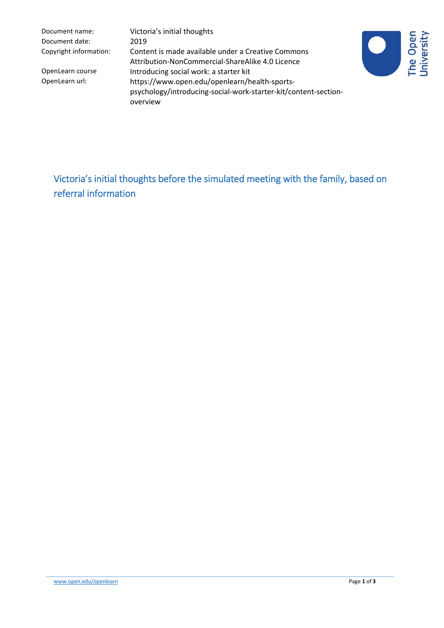Document name: Victoria's initial thoughts Document date: 2019

Copyright information: Content is made available under a Creative Commons Attribution-NonCommercial-ShareAlike 4.0 Licence OpenLearn course **Introducing social work: a starter kit**<br>OpenLearn url: https://www.open.edu/openlearn/h https://www.open.edu/openlearn/health-sportspsychology/introducing-social-work-starter-kit/content-sectionoverview



Victoria's initial thoughts before the simulated meeting with the family, based on referral information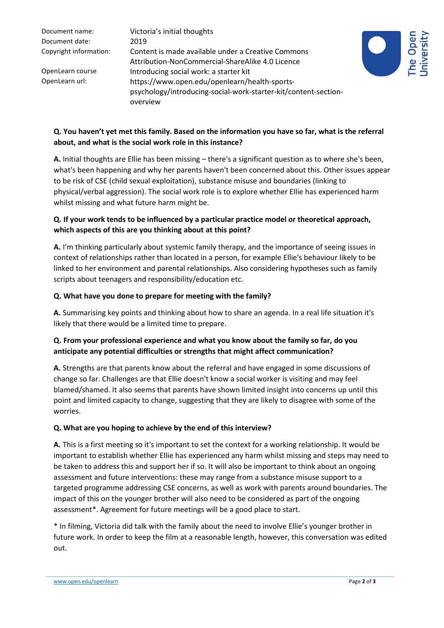Document date: 2019

Document name: Victoria's initial thoughts Copyright information: Content is made available under a Creative Commons Attribution-NonCommercial-ShareAlike 4.0 Licence OpenLearn course Introducing social work: a starter kit OpenLearn url: https://www.open.edu/openlearn/health-sportspsychology/introducing-social-work-starter-kit/content-sectionoverview



# **Q. You haven't yet met this family. Based on the information you have so far, what is the referral about, and what is the social work role in this instance?**

**A.** Initial thoughts are Ellie has been missing – there's a significant question as to where she's been, what's been happening and why her parents haven't been concerned about this. Other issues appear to be risk of CSE (child sexual exploitation), substance misuse and boundaries (linking to physical/verbal aggression). The social work role is to explore whether Ellie has experienced harm whilst missing and what future harm might be.

## **Q. If your work tends to be influenced by a particular practice model or theoretical approach, which aspects of this are you thinking about at this point?**

**A.** I'm thinking particularly about systemic family therapy, and the importance of seeing issues in context of relationships rather than located in a person, for example Ellie's behaviour likely to be linked to her environment and parental relationships. Also considering hypotheses such as family scripts about teenagers and responsibility/education etc.

#### **Q. What have you done to prepare for meeting with the family?**

**A.** Summarising key points and thinking about how to share an agenda. In a real life situation it's likely that there would be a limited time to prepare.

### **Q. From your professional experience and what you know about the family so far, do you anticipate any potential difficulties or strengths that might affect communication?**

**A.** Strengths are that parents know about the referral and have engaged in some discussions of change so far. Challenges are that Ellie doesn't know a social worker is visiting and may feel blamed/shamed. It also seems that parents have shown limited insight into concerns up until this point and limited capacity to change, suggesting that they are likely to disagree with some of the worries.

#### **Q. What are you hoping to achieve by the end of this interview?**

**A.** This is a first meeting so it's important to set the context for a working relationship. It would be important to establish whether Ellie has experienced any harm whilst missing and steps may need to be taken to address this and support her if so. It will also be important to think about an ongoing assessment and future interventions: these may range from a substance misuse support to a targeted programme addressing CSE concerns, as well as work with parents around boundaries. The impact of this on the younger brother will also need to be considered as part of the ongoing assessment\*. Agreement for future meetings will be a good place to start.

\* In filming, Victoria did talk with the family about the need to involve Ellie's younger brother in future work. In order to keep the film at a reasonable length, however, this conversation was edited out.